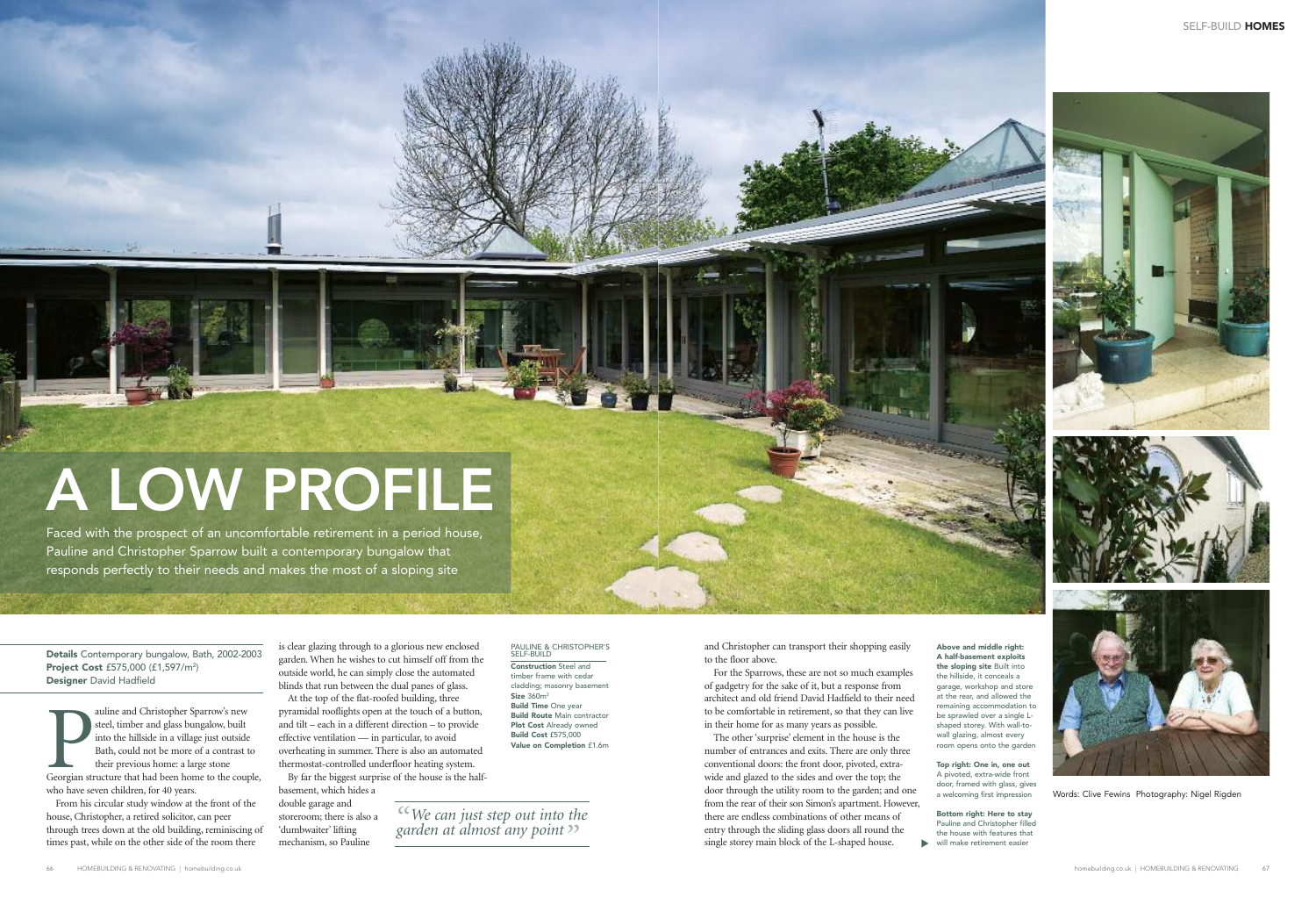is clear glazing through to a glorious new enclosed garden. When he wishes to cut himself off from the outside world, he can simply close the automated blinds that run between the dual panes of glass. At the top of the flat-roofed building, three pyramidal rooflights open at the touch of a button, and tilt – each in a different direction – to provide effective ventilation — in particular, to avoid overheating in summer. There is also an automated thermostat-controlled underfloor heating system.

auline and Christopher Sparrow's new<br>steel, timber and glass bungalow, built<br>into the hillside in a village just outside<br>Bath, could not be more of a contrast to<br>their previous home: a large stone<br>Georgian structure that h auline and Christopher Sparrow's new steel, timber and glass bungalow, built into the hillside in a village just outside Bath, could not be more of a contrast to their previous home: a large stone who have seven children, for 40 years.

By far the biggest surprise of the house is the half-

basement, which hides a double garage and storeroom; there is also a 'dumbwaiter' lifting mechanism, so Pauline

**Above and middle right: A half-basement exploits the sloping site** Built into garage, workshop and store at the rear, and allowed the remaining accommodation to be sprawled over a single Lshaped storey. With wall-towall glazing, almost every room opens onto the garden

From his circular study window at the front of the house, Christopher, a retired solicitor, can peer through trees down at the old building, reminiscing of times past, while on the other side of the room there





Words: Clive Fewins Photography: Nigel Rigden

the hillside, it conceals a

#### PAULINE & CHRISTOPHER'S SELF-BUILD

**Construction** Steel and timber frame with cedar cladding; masonry basement **Size** 360m2 **Build Time** One year **Build Route** Main contractor **Plot Cost** Already owned **Build Cost** £575,000 **Value on Completion** £1.6m

> **Top right: One in, one out** A pivoted, extra-wide front door, framed with glass, gives a welcoming first impression

**Bottom right: Here to stay** Pauline and Christopher filled the house with features that  $\blacktriangleright$ will make retirement easier

**Details** Contemporary bungalow, Bath, 2002-2003 **Project Cost** £575,000 (£1,597/m2 ) **Designer** David Hadfield

> *" We can just step out into the " garden at almost any point*

and Christopher can transport their shopping easily to the floor above.

For the Sparrows, these are not so much examples of gadgetry for the sake of it, but a response from architect and old friend David Hadfield to their need to be comfortable in retirement, so that they can live in their home for as many years as possible.

The other'surprise' element in the house is the number of entrances and exits. There are only three conventional doors: the front door, pivoted, extrawide and glazed to the sides and over the top; the door through the utility room to the garden; and one from the rear of their son Simon's apartment. However, there are endless combinations of other means of entry through the sliding glass doors all round the single storey main block of the L-shaped house.

Faced with the prospect of an uncomfortable retirement in a period house, Pauline and Christopher Sparrow built a contemporary bungalow that responds perfectly to their needs and makes the most of a sloping site

# **A LOW PROFILE**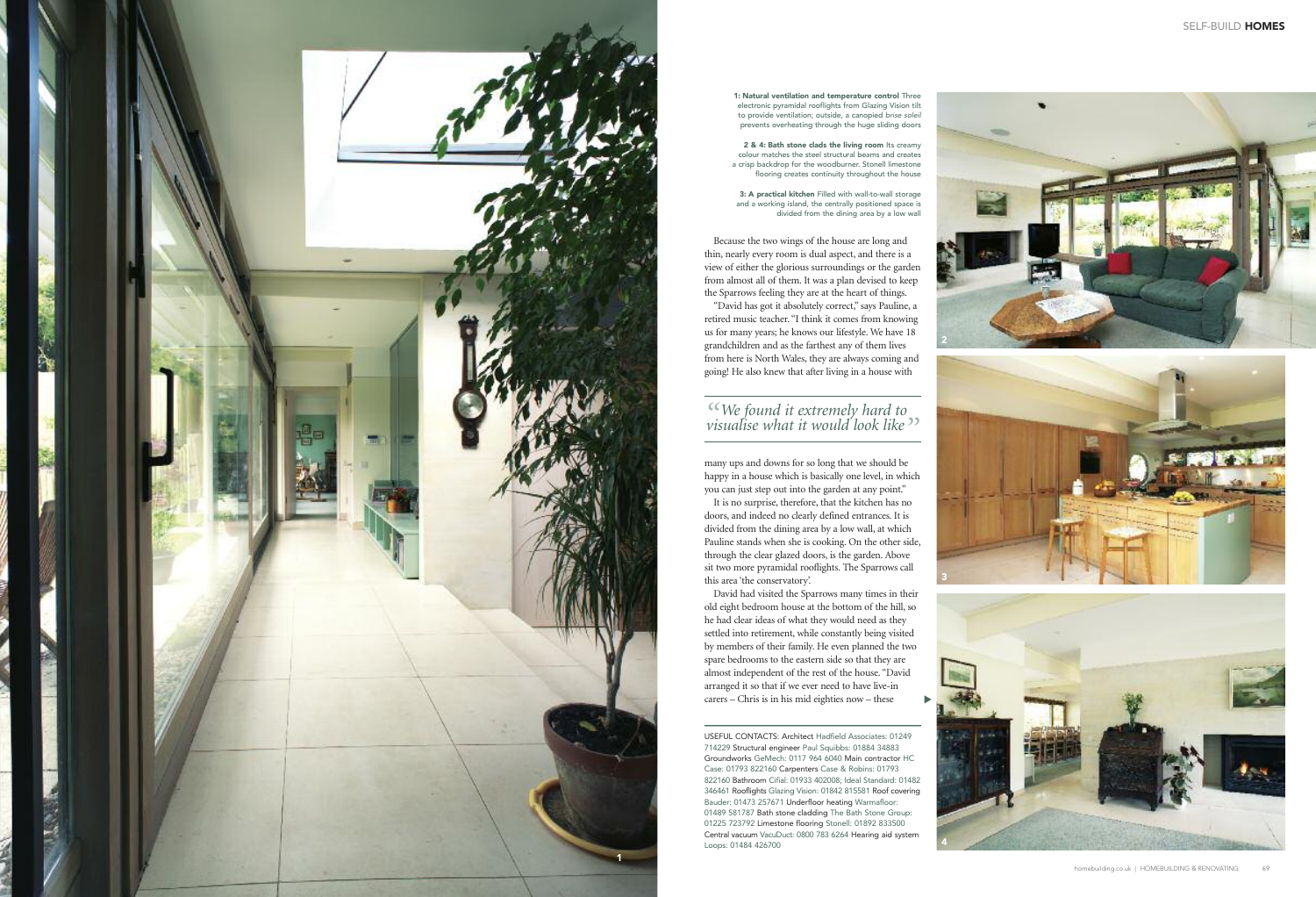# *"*  $\alpha$  We found it extremely hard to<br>visualise what it would look like

many ups and downs for so long that we should be happy in a house which is basically one level, in which you can just step out into the garden at any point."

It is no surprise, therefore, that the kitchen has no doors, and indeed no clearly defined entrances. It is divided from the dining area by a low wall, at which Pauline stands when she is cooking. On the other side, through the clear glazed doors, is the garden. Above sit two more pyramidal rooflights. The Sparrows call this area 'the conservatory'.

David had visited the Sparrows many times in their old eight bedroom house at the bottom of the hill, so he had clear ideas of what they would need as they settled into retirement, while constantly being visited by members of their family. He even planned the two spare bedrooms to the eastern side so that they are almost independent of the rest of the house. "David arranged it so that if we ever need to have live-in carers – Chris is in his mid eighties now – these



**1: Natural ventilation and temperature control** Three electronic pyramidal rooflights from Glazing Vision tilt to provide ventilation; outside, a canopied *brise solei* prevents overheating through the huge sliding doors

**2 & 4: Bath stone clads the living room** Its creamy colour matches the steel structural beams and creates a crisp backdrop for the woodburner. Stonell limestone flooring creates continuity throughout the house

**3: A practical kitchen** Filled with wall-to-wall storage and a working island, the centrally positioned space is divided from the dining area by a low wall

Because the two wings of the house are long and thin, nearly every room is dual aspect, and there is a view of either the glorious surroundings or the garden from almost all of them. It was a plan devised to keep the Sparrows feeling they are at the heart of things.

**234**

"David has got it absolutely correct," says Pauline, a retired music teacher. "I think it comes from knowing us for many years; he knows our lifestyle. We have 18 grandchildren and as the farthest any of them lives from here is North Wales, they are always coming and going! He also knew that after living in a house with

▼

USEFUL CONTACTS: Architect Hadfield Associates: 01249 714229 Structural engineer Paul Squibbs: 01884 34883 Groundworks GeMech: 0117 964 6040 Main contractor HC Case: 01793 822160 Carpenters Case & Robins: 01793 822160 Bathroom Cifial: 01933 402008; Ideal Standard: 01482 346461 Rooflights Glazing Vision: 01842 815581 Roof covering Bauder: 01473 257671 Underfloor heating Warmafloor: 01489 581787 **Bath stone cladding** The Bath Stone Group: 01225 723792 Limestone flooring Stonell: 01892 833500 Central vacuum VacuDuct: 0800 783 6264 Hearing aid system Loops: 01484 426700